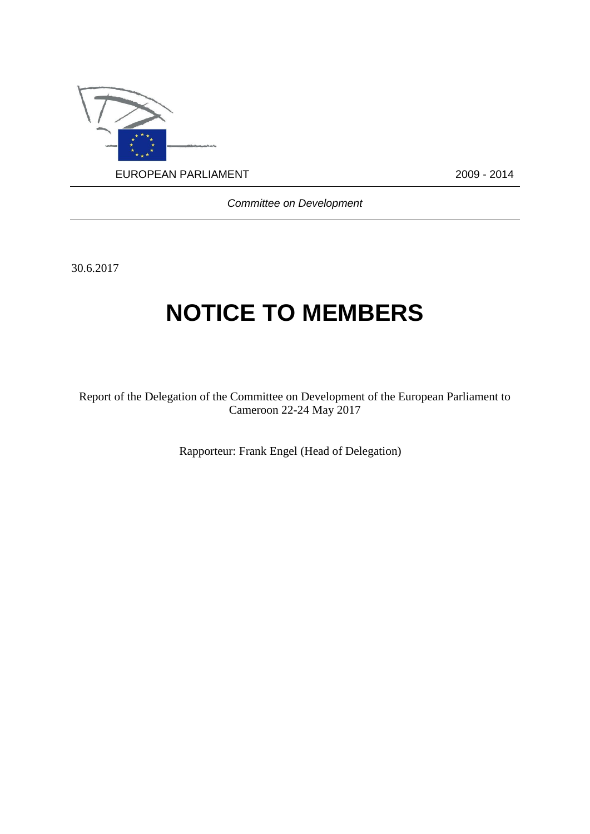

*Committee on Development*

30.6.2017

# **NOTICE TO MEMBERS**

Report of the Delegation of the Committee on Development of the European Parliament to Cameroon 22-24 May 2017

Rapporteur: Frank Engel (Head of Delegation)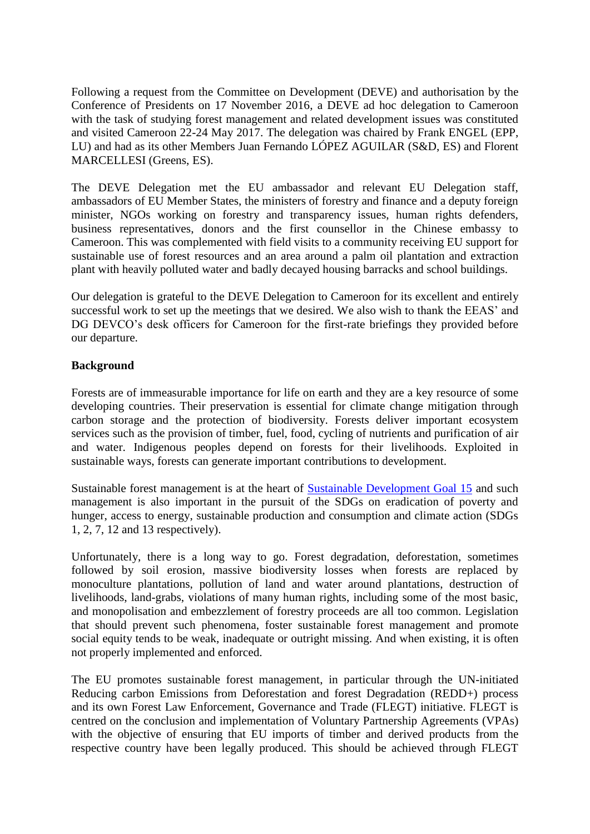Following a request from the Committee on Development (DEVE) and authorisation by the Conference of Presidents on 17 November 2016, a DEVE ad hoc delegation to Cameroon with the task of studying forest management and related development issues was constituted and visited Cameroon 22-24 May 2017. The delegation was chaired by Frank ENGEL (EPP, LU) and had as its other Members Juan Fernando LÓPEZ AGUILAR (S&D, ES) and Florent MARCELLESI (Greens, ES).

The DEVE Delegation met the EU ambassador and relevant EU Delegation staff, ambassadors of EU Member States, the ministers of forestry and finance and a deputy foreign minister, NGOs working on forestry and transparency issues, human rights defenders, business representatives, donors and the first counsellor in the Chinese embassy to Cameroon. This was complemented with field visits to a community receiving EU support for sustainable use of forest resources and an area around a palm oil plantation and extraction plant with heavily polluted water and badly decayed housing barracks and school buildings.

Our delegation is grateful to the DEVE Delegation to Cameroon for its excellent and entirely successful work to set up the meetings that we desired. We also wish to thank the EEAS' and DG DEVCO's desk officers for Cameroon for the first-rate briefings they provided before our departure.

## **Background**

Forests are of immeasurable importance for life on earth and they are a key resource of some developing countries. Their preservation is essential for climate change mitigation through carbon storage and the protection of biodiversity. Forests deliver important ecosystem services such as the provision of timber, fuel, food, cycling of nutrients and purification of air and water. Indigenous peoples depend on forests for their livelihoods. Exploited in sustainable ways, forests can generate important contributions to development.

Sustainable forest management is at the heart of [Sustainable Development Goal 15](http://www.un.org/sustainabledevelopment/biodiversity/) and such management is also important in the pursuit of the SDGs on eradication of poverty and hunger, access to energy, sustainable production and consumption and climate action (SDGs 1, 2, 7, 12 and 13 respectively).

Unfortunately, there is a long way to go. Forest degradation, deforestation, sometimes followed by soil erosion, massive biodiversity losses when forests are replaced by monoculture plantations, pollution of land and water around plantations, destruction of livelihoods, land-grabs, violations of many human rights, including some of the most basic, and monopolisation and embezzlement of forestry proceeds are all too common. Legislation that should prevent such phenomena, foster sustainable forest management and promote social equity tends to be weak, inadequate or outright missing. And when existing, it is often not properly implemented and enforced.

The EU promotes sustainable forest management, in particular through the UN-initiated Reducing carbon Emissions from Deforestation and forest Degradation (REDD+) process and its own Forest Law Enforcement, Governance and Trade (FLEGT) initiative. FLEGT is centred on the conclusion and implementation of Voluntary Partnership Agreements (VPAs) with the objective of ensuring that EU imports of timber and derived products from the respective country have been legally produced. This should be achieved through FLEGT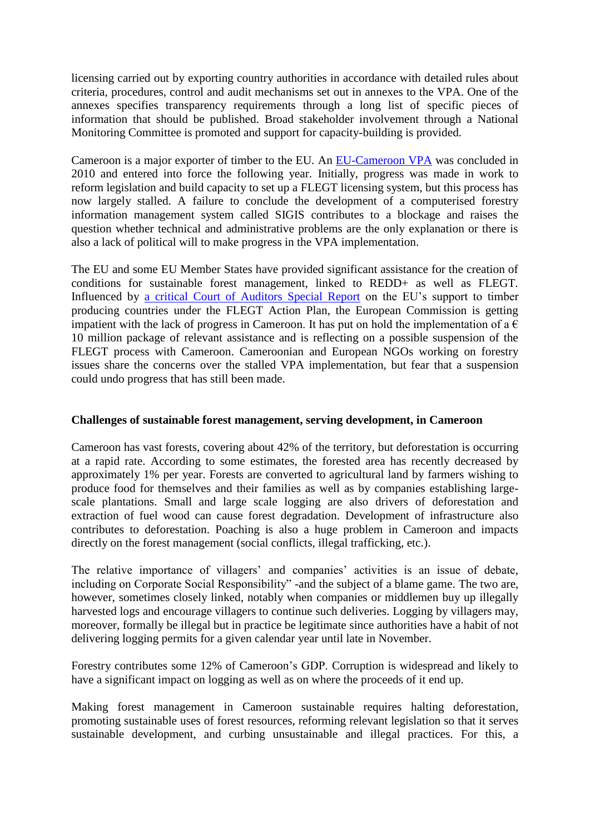licensing carried out by exporting country authorities in accordance with detailed rules about criteria, procedures, control and audit mechanisms set out in annexes to the VPA. One of the annexes specifies transparency requirements through a long list of specific pieces of information that should be published. Broad stakeholder involvement through a National Monitoring Committee is promoted and support for capacity-building is provided.

Cameroon is a major exporter of timber to the EU. An [EU-Cameroon VPA](http://eur-lex.europa.eu/legal-content/EN/TXT/PDF/?uri=CELEX:22011A0406(02)&from=EN) was concluded in 2010 and entered into force the following year. Initially, progress was made in work to reform legislation and build capacity to set up a FLEGT licensing system, but this process has now largely stalled. A failure to conclude the development of a computerised forestry information management system called SIGIS contributes to a blockage and raises the question whether technical and administrative problems are the only explanation or there is also a lack of political will to make progress in the VPA implementation.

The EU and some EU Member States have provided significant assistance for the creation of conditions for sustainable forest management, linked to REDD+ as well as FLEGT. Influenced by [a critical Court of Auditors Special Report](http://www.eca.europa.eu/en/Pages/DocItem.aspx?did=33292) on the EU's support to timber producing countries under the FLEGT Action Plan, the European Commission is getting impatient with the lack of progress in Cameroon. It has put on hold the implementation of a  $\epsilon$ 10 million package of relevant assistance and is reflecting on a possible suspension of the FLEGT process with Cameroon. Cameroonian and European NGOs working on forestry issues share the concerns over the stalled VPA implementation, but fear that a suspension could undo progress that has still been made.

### **Challenges of sustainable forest management, serving development, in Cameroon**

Cameroon has vast forests, covering about 42% of the territory, but deforestation is occurring at a rapid rate. According to some estimates, the forested area has recently decreased by approximately 1% per year. Forests are converted to agricultural land by farmers wishing to produce food for themselves and their families as well as by companies establishing largescale plantations. Small and large scale logging are also drivers of deforestation and extraction of fuel wood can cause forest degradation. Development of infrastructure also contributes to deforestation. Poaching is also a huge problem in Cameroon and impacts directly on the forest management (social conflicts, illegal trafficking, etc.).

The relative importance of villagers' and companies' activities is an issue of debate, including on Corporate Social Responsibility" -and the subject of a blame game. The two are, however, sometimes closely linked, notably when companies or middlemen buy up illegally harvested logs and encourage villagers to continue such deliveries. Logging by villagers may, moreover, formally be illegal but in practice be legitimate since authorities have a habit of not delivering logging permits for a given calendar year until late in November.

Forestry contributes some 12% of Cameroon's GDP. Corruption is widespread and likely to have a significant impact on logging as well as on where the proceeds of it end up.

Making forest management in Cameroon sustainable requires halting deforestation, promoting sustainable uses of forest resources, reforming relevant legislation so that it serves sustainable development, and curbing unsustainable and illegal practices. For this, a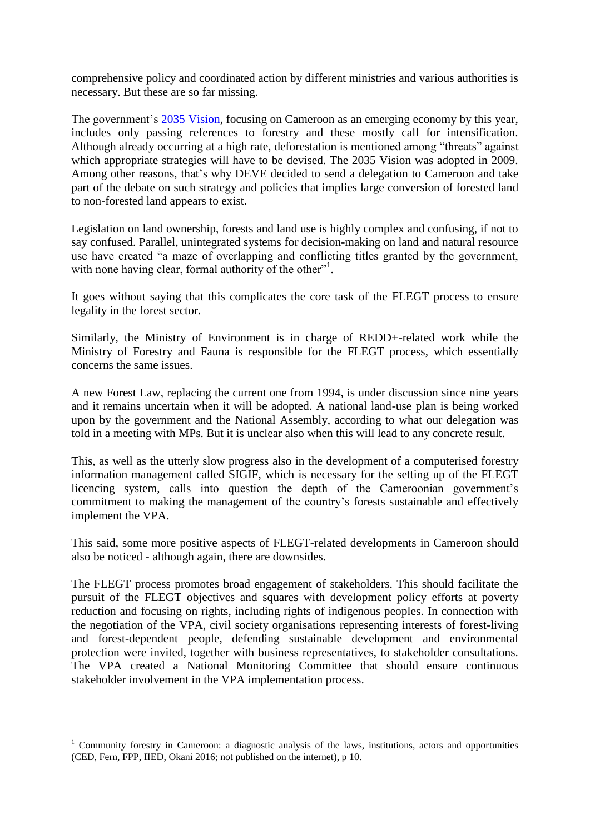comprehensive policy and coordinated action by different ministries and various authorities is necessary. But these are so far missing.

The government's [2035 Vision,](http://www.platform2035.com/images/pdf/Cameroon_VISION_2035.pdf) focusing on Cameroon as an emerging economy by this year, includes only passing references to forestry and these mostly call for intensification. Although already occurring at a high rate, deforestation is mentioned among "threats" against which appropriate strategies will have to be devised. The 2035 Vision was adopted in 2009. Among other reasons, that's why DEVE decided to send a delegation to Cameroon and take part of the debate on such strategy and policies that implies large conversion of forested land to non-forested land appears to exist.

Legislation on land ownership, forests and land use is highly complex and confusing, if not to say confused. Parallel, unintegrated systems for decision-making on land and natural resource use have created "a maze of overlapping and conflicting titles granted by the government, with none having clear, formal authority of the other"<sup>1</sup>.

It goes without saying that this complicates the core task of the FLEGT process to ensure legality in the forest sector.

Similarly, the Ministry of Environment is in charge of REDD+-related work while the Ministry of Forestry and Fauna is responsible for the FLEGT process, which essentially concerns the same issues.

A new Forest Law, replacing the current one from 1994, is under discussion since nine years and it remains uncertain when it will be adopted. A national land-use plan is being worked upon by the government and the National Assembly, according to what our delegation was told in a meeting with MPs. But it is unclear also when this will lead to any concrete result.

This, as well as the utterly slow progress also in the development of a computerised forestry information management called SIGIF, which is necessary for the setting up of the FLEGT licencing system, calls into question the depth of the Cameroonian government's commitment to making the management of the country's forests sustainable and effectively implement the VPA.

This said, some more positive aspects of FLEGT-related developments in Cameroon should also be noticed - although again, there are downsides.

The FLEGT process promotes broad engagement of stakeholders. This should facilitate the pursuit of the FLEGT objectives and squares with development policy efforts at poverty reduction and focusing on rights, including rights of indigenous peoples. In connection with the negotiation of the VPA, civil society organisations representing interests of forest-living and forest-dependent people, defending sustainable development and environmental protection were invited, together with business representatives, to stakeholder consultations. The VPA created a National Monitoring Committee that should ensure continuous stakeholder involvement in the VPA implementation process.

<u>.</u>

<sup>1</sup> Community forestry in Cameroon: a diagnostic analysis of the laws, institutions, actors and opportunities (CED, Fern, FPP, IIED, Okani 2016; not published on the internet), p 10.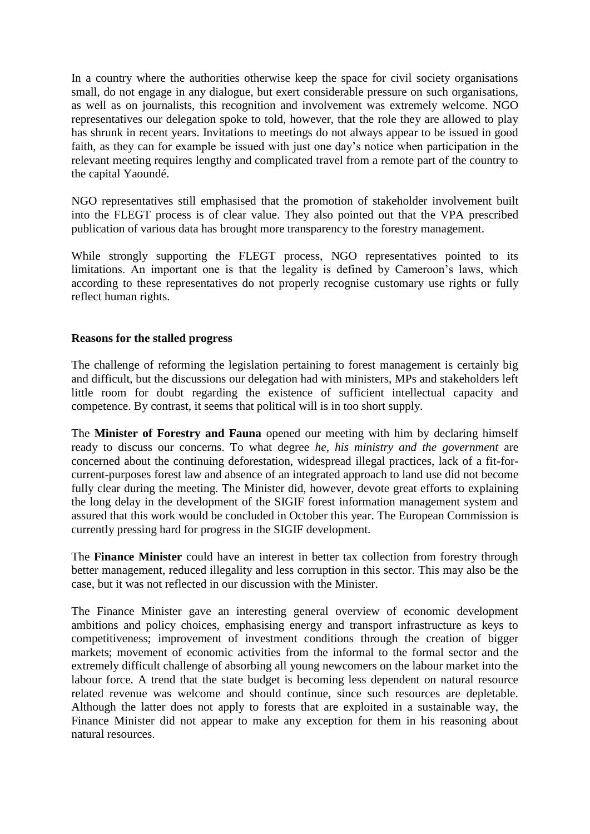In a country where the authorities otherwise keep the space for civil society organisations small, do not engage in any dialogue, but exert considerable pressure on such organisations, as well as on journalists, this recognition and involvement was extremely welcome. NGO representatives our delegation spoke to told, however, that the role they are allowed to play has shrunk in recent years. Invitations to meetings do not always appear to be issued in good faith, as they can for example be issued with just one day's notice when participation in the relevant meeting requires lengthy and complicated travel from a remote part of the country to the capital Yaoundé.

NGO representatives still emphasised that the promotion of stakeholder involvement built into the FLEGT process is of clear value. They also pointed out that the VPA prescribed publication of various data has brought more transparency to the forestry management.

While strongly supporting the FLEGT process, NGO representatives pointed to its limitations. An important one is that the legality is defined by Cameroon's laws, which according to these representatives do not properly recognise customary use rights or fully reflect human rights.

#### **Reasons for the stalled progress**

The challenge of reforming the legislation pertaining to forest management is certainly big and difficult, but the discussions our delegation had with ministers, MPs and stakeholders left little room for doubt regarding the existence of sufficient intellectual capacity and competence. By contrast, it seems that political will is in too short supply.

The **Minister of Forestry and Fauna** opened our meeting with him by declaring himself ready to discuss our concerns. To what degree *he, his ministry and the government* are concerned about the continuing deforestation, widespread illegal practices, lack of a fit-forcurrent-purposes forest law and absence of an integrated approach to land use did not become fully clear during the meeting. The Minister did, however, devote great efforts to explaining the long delay in the development of the SIGIF forest information management system and assured that this work would be concluded in October this year. The European Commission is currently pressing hard for progress in the SIGIF development.

The **Finance Minister** could have an interest in better tax collection from forestry through better management, reduced illegality and less corruption in this sector. This may also be the case, but it was not reflected in our discussion with the Minister.

The Finance Minister gave an interesting general overview of economic development ambitions and policy choices, emphasising energy and transport infrastructure as keys to competitiveness; improvement of investment conditions through the creation of bigger markets; movement of economic activities from the informal to the formal sector and the extremely difficult challenge of absorbing all young newcomers on the labour market into the labour force. A trend that the state budget is becoming less dependent on natural resource related revenue was welcome and should continue, since such resources are depletable. Although the latter does not apply to forests that are exploited in a sustainable way, the Finance Minister did not appear to make any exception for them in his reasoning about natural resources.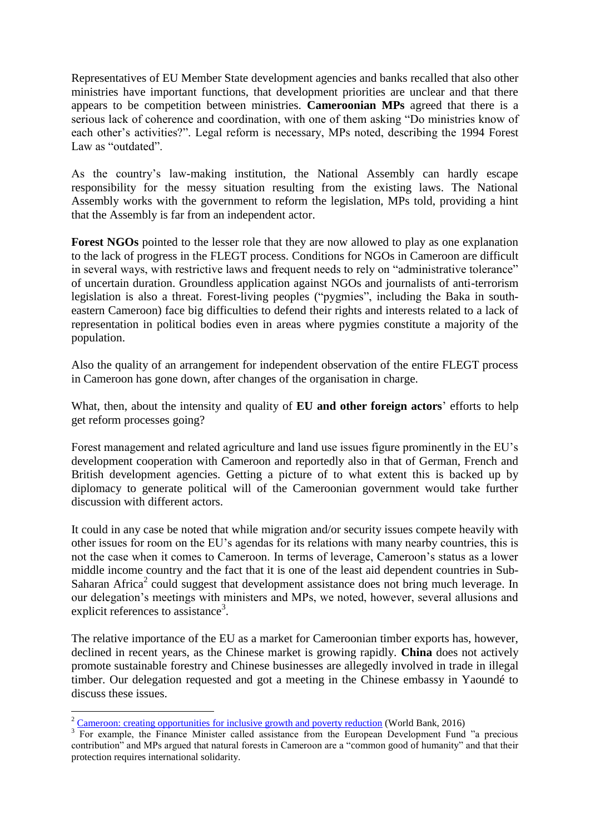Representatives of EU Member State development agencies and banks recalled that also other ministries have important functions, that development priorities are unclear and that there appears to be competition between ministries. **Cameroonian MPs** agreed that there is a serious lack of coherence and coordination, with one of them asking "Do ministries know of each other's activities?". Legal reform is necessary, MPs noted, describing the 1994 Forest Law as "outdated".

As the country's law-making institution, the National Assembly can hardly escape responsibility for the messy situation resulting from the existing laws. The National Assembly works with the government to reform the legislation, MPs told, providing a hint that the Assembly is far from an independent actor.

**Forest NGOs** pointed to the lesser role that they are now allowed to play as one explanation to the lack of progress in the FLEGT process. Conditions for NGOs in Cameroon are difficult in several ways, with restrictive laws and frequent needs to rely on "administrative tolerance" of uncertain duration. Groundless application against NGOs and journalists of anti-terrorism legislation is also a threat. Forest-living peoples ("pygmies", including the Baka in southeastern Cameroon) face big difficulties to defend their rights and interests related to a lack of representation in political bodies even in areas where pygmies constitute a majority of the population.

Also the quality of an arrangement for independent observation of the entire FLEGT process in Cameroon has gone down, after changes of the organisation in charge.

What, then, about the intensity and quality of **EU and other foreign actors**' efforts to help get reform processes going?

Forest management and related agriculture and land use issues figure prominently in the EU's development cooperation with Cameroon and reportedly also in that of German, French and British development agencies. Getting a picture of to what extent this is backed up by diplomacy to generate political will of the Cameroonian government would take further discussion with different actors.

It could in any case be noted that while migration and/or security issues compete heavily with other issues for room on the EU's agendas for its relations with many nearby countries, this is not the case when it comes to Cameroon. In terms of leverage, Cameroon's status as a lower middle income country and the fact that it is one of the least aid dependent countries in Sub-Saharan Africa<sup>2</sup> could suggest that development assistance does not bring much leverage. In our delegation's meetings with ministers and MPs, we noted, however, several allusions and explicit references to assistance<sup>3</sup>.

The relative importance of the EU as a market for Cameroonian timber exports has, however, declined in recent years, as the Chinese market is growing rapidly. **China** does not actively promote sustainable forestry and Chinese businesses are allegedly involved in trade in illegal timber. Our delegation requested and got a meeting in the Chinese embassy in Yaoundé to discuss these issues.

1

 $2$  [Cameroon: creating opportunities for inclusive growth and poverty reduction](http://www.worldbank.org/en/results/2016/07/12/cameroon-creating-opportunities-for-inclusive-growth-and-poverty-reduction) (World Bank, 2016)

<sup>&</sup>lt;sup>3</sup> For example, the Finance Minister called assistance from the European Development Fund "a precious contribution" and MPs argued that natural forests in Cameroon are a "common good of humanity" and that their protection requires international solidarity.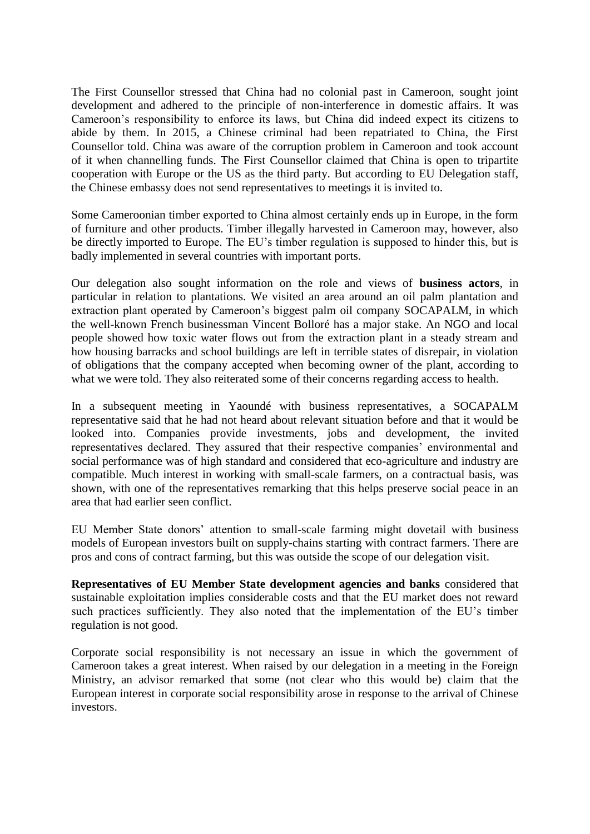The First Counsellor stressed that China had no colonial past in Cameroon, sought joint development and adhered to the principle of non-interference in domestic affairs. It was Cameroon's responsibility to enforce its laws, but China did indeed expect its citizens to abide by them. In 2015, a Chinese criminal had been repatriated to China, the First Counsellor told. China was aware of the corruption problem in Cameroon and took account of it when channelling funds. The First Counsellor claimed that China is open to tripartite cooperation with Europe or the US as the third party. But according to EU Delegation staff, the Chinese embassy does not send representatives to meetings it is invited to.

Some Cameroonian timber exported to China almost certainly ends up in Europe, in the form of furniture and other products. Timber illegally harvested in Cameroon may, however, also be directly imported to Europe. The EU's timber regulation is supposed to hinder this, but is badly implemented in several countries with important ports.

Our delegation also sought information on the role and views of **business actors**, in particular in relation to plantations. We visited an area around an oil palm plantation and extraction plant operated by Cameroon's biggest palm oil company SOCAPALM, in which the well-known French businessman Vincent Bolloré has a major stake. An NGO and local people showed how toxic water flows out from the extraction plant in a steady stream and how housing barracks and school buildings are left in terrible states of disrepair, in violation of obligations that the company accepted when becoming owner of the plant, according to what we were told. They also reiterated some of their concerns regarding access to health.

In a subsequent meeting in Yaoundé with business representatives, a SOCAPALM representative said that he had not heard about relevant situation before and that it would be looked into. Companies provide investments, jobs and development, the invited representatives declared. They assured that their respective companies' environmental and social performance was of high standard and considered that eco-agriculture and industry are compatible. Much interest in working with small-scale farmers, on a contractual basis, was shown, with one of the representatives remarking that this helps preserve social peace in an area that had earlier seen conflict.

EU Member State donors' attention to small-scale farming might dovetail with business models of European investors built on supply-chains starting with contract farmers. There are pros and cons of contract farming, but this was outside the scope of our delegation visit.

**Representatives of EU Member State development agencies and banks** considered that sustainable exploitation implies considerable costs and that the EU market does not reward such practices sufficiently. They also noted that the implementation of the EU's timber regulation is not good.

Corporate social responsibility is not necessary an issue in which the government of Cameroon takes a great interest. When raised by our delegation in a meeting in the Foreign Ministry, an advisor remarked that some (not clear who this would be) claim that the European interest in corporate social responsibility arose in response to the arrival of Chinese investors.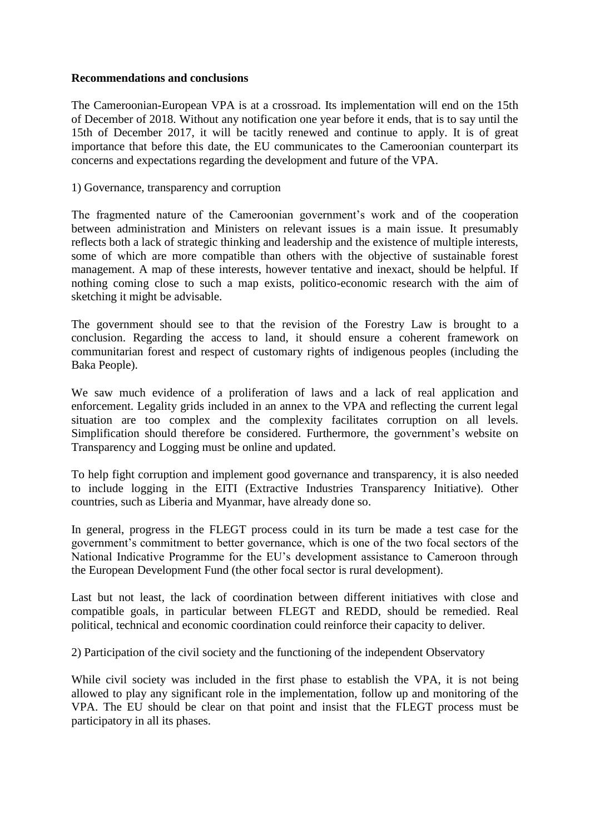#### **Recommendations and conclusions**

The Cameroonian-European VPA is at a crossroad. Its implementation will end on the 15th of December of 2018. Without any notification one year before it ends, that is to say until the 15th of December 2017, it will be tacitly renewed and continue to apply. It is of great importance that before this date, the EU communicates to the Cameroonian counterpart its concerns and expectations regarding the development and future of the VPA.

1) Governance, transparency and corruption

The fragmented nature of the Cameroonian government's work and of the cooperation between administration and Ministers on relevant issues is a main issue. It presumably reflects both a lack of strategic thinking and leadership and the existence of multiple interests, some of which are more compatible than others with the objective of sustainable forest management. A map of these interests, however tentative and inexact, should be helpful. If nothing coming close to such a map exists, politico-economic research with the aim of sketching it might be advisable.

The government should see to that the revision of the Forestry Law is brought to a conclusion. Regarding the access to land, it should ensure a coherent framework on communitarian forest and respect of customary rights of indigenous peoples (including the Baka People).

We saw much evidence of a proliferation of laws and a lack of real application and enforcement. Legality grids included in an annex to the VPA and reflecting the current legal situation are too complex and the complexity facilitates corruption on all levels. Simplification should therefore be considered. Furthermore, the government's website on Transparency and Logging must be online and updated.

To help fight corruption and implement good governance and transparency, it is also needed to include logging in the EITI (Extractive Industries Transparency Initiative). Other countries, such as Liberia and Myanmar, have already done so.

In general, progress in the FLEGT process could in its turn be made a test case for the government's commitment to better governance, which is one of the two focal sectors of the National Indicative Programme for the EU's development assistance to Cameroon through the European Development Fund (the other focal sector is rural development).

Last but not least, the lack of coordination between different initiatives with close and compatible goals, in particular between FLEGT and REDD, should be remedied. Real political, technical and economic coordination could reinforce their capacity to deliver.

2) Participation of the civil society and the functioning of the independent Observatory

While civil society was included in the first phase to establish the VPA, it is not being allowed to play any significant role in the implementation, follow up and monitoring of the VPA. The EU should be clear on that point and insist that the FLEGT process must be participatory in all its phases.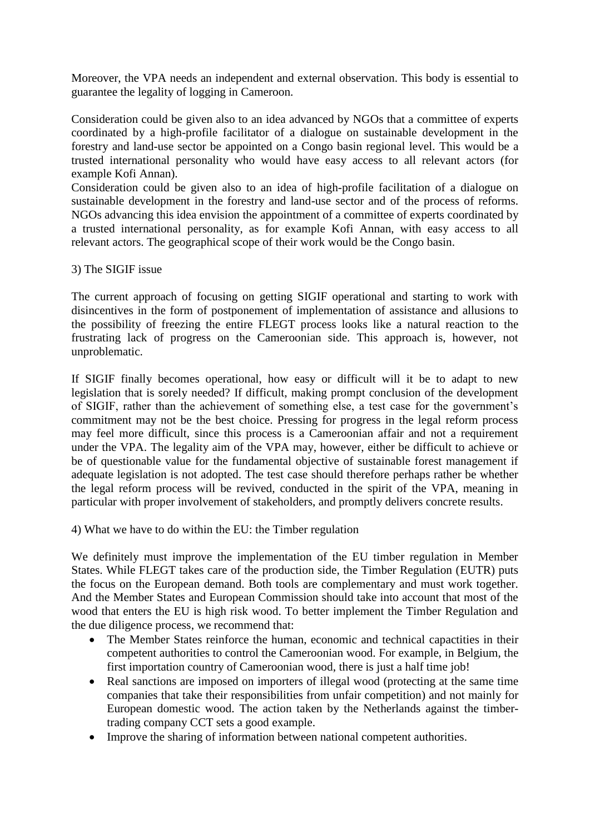Moreover, the VPA needs an independent and external observation. This body is essential to guarantee the legality of logging in Cameroon.

Consideration could be given also to an idea advanced by NGOs that a committee of experts coordinated by a high-profile facilitator of a dialogue on sustainable development in the forestry and land-use sector be appointed on a Congo basin regional level. This would be a trusted international personality who would have easy access to all relevant actors (for example Kofi Annan).

Consideration could be given also to an idea of high-profile facilitation of a dialogue on sustainable development in the forestry and land-use sector and of the process of reforms. NGOs advancing this idea envision the appointment of a committee of experts coordinated by a trusted international personality, as for example Kofi Annan, with easy access to all relevant actors. The geographical scope of their work would be the Congo basin.

#### 3) The SIGIF issue

The current approach of focusing on getting SIGIF operational and starting to work with disincentives in the form of postponement of implementation of assistance and allusions to the possibility of freezing the entire FLEGT process looks like a natural reaction to the frustrating lack of progress on the Cameroonian side. This approach is, however, not unproblematic.

If SIGIF finally becomes operational, how easy or difficult will it be to adapt to new legislation that is sorely needed? If difficult, making prompt conclusion of the development of SIGIF, rather than the achievement of something else, a test case for the government's commitment may not be the best choice. Pressing for progress in the legal reform process may feel more difficult, since this process is a Cameroonian affair and not a requirement under the VPA. The legality aim of the VPA may, however, either be difficult to achieve or be of questionable value for the fundamental objective of sustainable forest management if adequate legislation is not adopted. The test case should therefore perhaps rather be whether the legal reform process will be revived, conducted in the spirit of the VPA, meaning in particular with proper involvement of stakeholders, and promptly delivers concrete results.

4) What we have to do within the EU: the Timber regulation

We definitely must improve the implementation of the EU timber regulation in Member States. While FLEGT takes care of the production side, the Timber Regulation (EUTR) puts the focus on the European demand. Both tools are complementary and must work together. And the Member States and European Commission should take into account that most of the wood that enters the EU is high risk wood. To better implement the Timber Regulation and the due diligence process, we recommend that:

- The Member States reinforce the human, economic and technical capactities in their competent authorities to control the Cameroonian wood. For example, in Belgium, the first importation country of Cameroonian wood, there is just a half time job!
- Real sanctions are imposed on importers of illegal wood (protecting at the same time companies that take their responsibilities from unfair competition) and not mainly for European domestic wood. The action taken by the Netherlands against the timbertrading company CCT sets a good example.
- Improve the sharing of information between national competent authorities.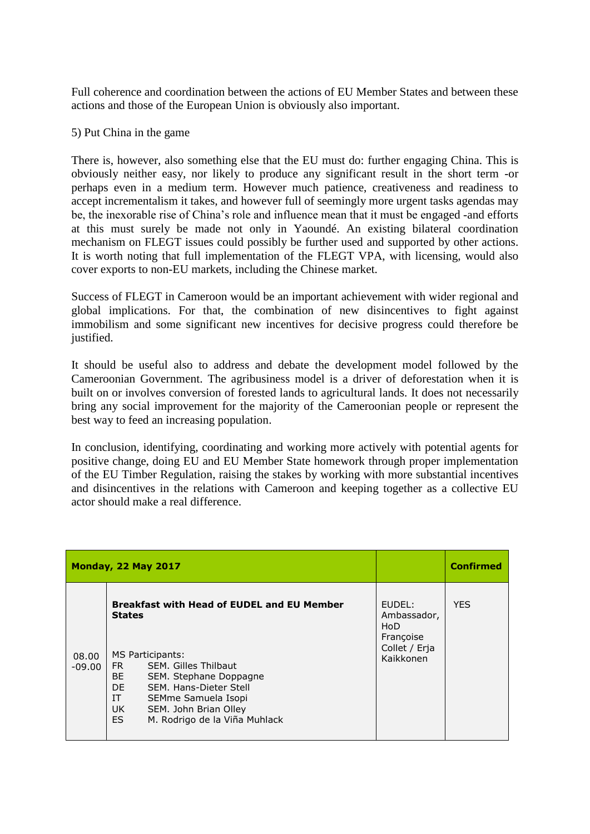Full coherence and coordination between the actions of EU Member States and between these actions and those of the European Union is obviously also important.

#### 5) Put China in the game

There is, however, also something else that the EU must do: further engaging China. This is obviously neither easy, nor likely to produce any significant result in the short term -or perhaps even in a medium term. However much patience, creativeness and readiness to accept incrementalism it takes, and however full of seemingly more urgent tasks agendas may be, the inexorable rise of China's role and influence mean that it must be engaged -and efforts at this must surely be made not only in Yaoundé. An existing bilateral coordination mechanism on FLEGT issues could possibly be further used and supported by other actions. It is worth noting that full implementation of the FLEGT VPA, with licensing, would also cover exports to non-EU markets, including the Chinese market.

Success of FLEGT in Cameroon would be an important achievement with wider regional and global implications. For that, the combination of new disincentives to fight against immobilism and some significant new incentives for decisive progress could therefore be justified.

It should be useful also to address and debate the development model followed by the Cameroonian Government. The agribusiness model is a driver of deforestation when it is built on or involves conversion of forested lands to agricultural lands. It does not necessarily bring any social improvement for the majority of the Cameroonian people or represent the best way to feed an increasing population.

In conclusion, identifying, coordinating and working more actively with potential agents for positive change, doing EU and EU Member State homework through proper implementation of the EU Timber Regulation, raising the stakes by working with more substantial incentives and disincentives in the relations with Cameroon and keeping together as a collective EU actor should make a real difference.

|                   | Monday, 22 May 2017                                                                                                                                                                                                                                                                                 |                                                                         | <b>Confirmed</b> |
|-------------------|-----------------------------------------------------------------------------------------------------------------------------------------------------------------------------------------------------------------------------------------------------------------------------------------------------|-------------------------------------------------------------------------|------------------|
| 08.00<br>$-09.00$ | <b>Breakfast with Head of EUDEL and EU Member</b><br><b>States</b><br>MS Participants:<br>FR F<br>SEM. Gilles Thilbaut<br><b>BE</b><br>SEM. Stephane Doppagne<br>DE.<br>SEM. Hans-Dieter Stell<br>IT<br>SEMme Samuela Isopi<br>UK.<br>SEM. John Brian Olley<br>ES.<br>M. Rodrigo de la Viña Muhlack | EUDEL:<br>Ambassador,<br>HoD<br>Françoise<br>Collet / Eria<br>Kaikkonen | <b>YES</b>       |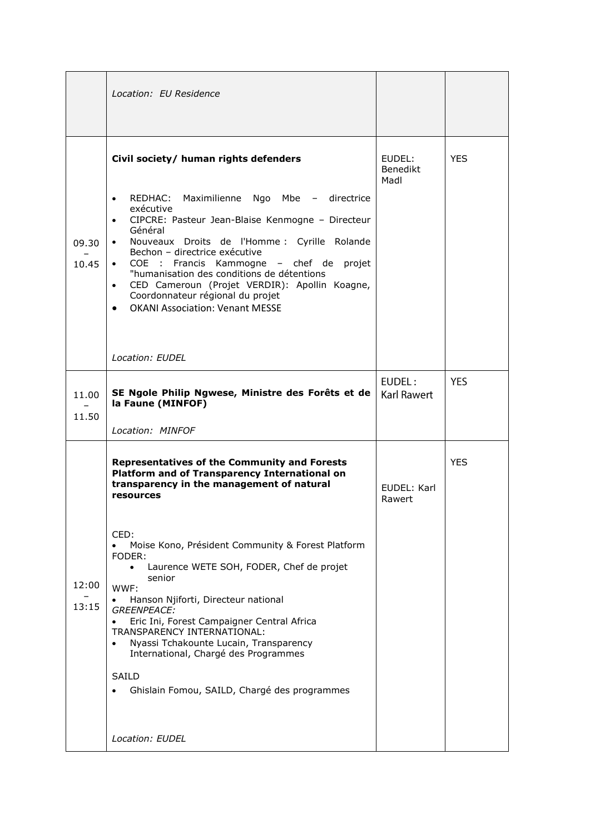|                | Location: EU Residence                                                                                                                                                                                                                                                                                                                                                                                                                                                                                                                                                                                                                             |                              |            |
|----------------|----------------------------------------------------------------------------------------------------------------------------------------------------------------------------------------------------------------------------------------------------------------------------------------------------------------------------------------------------------------------------------------------------------------------------------------------------------------------------------------------------------------------------------------------------------------------------------------------------------------------------------------------------|------------------------------|------------|
| 09.30<br>10.45 | Civil society/ human rights defenders<br>RFDHAC:<br>Maximilienne Ngo Mbe - directrice<br>$\bullet$<br>exécutive<br>CIPCRE: Pasteur Jean-Blaise Kenmogne - Directeur<br>$\bullet$<br>Général<br>Nouveaux Droits de l'Homme : Cyrille Rolande<br>$\bullet$<br>Bechon - directrice exécutive<br>COE : Francis Kammogne - chef de projet<br>$\bullet$<br>"humanisation des conditions de détentions<br>CED Cameroun (Projet VERDIR): Apollin Koagne,<br>$\bullet$<br>Coordonnateur régional du projet<br><b>OKANI Association: Venant MESSE</b><br>$\bullet$<br>Location: EUDEL                                                                        | EUDEL:<br>Benedikt<br>Madl   | <b>YES</b> |
| 11.00<br>11.50 | SE Ngole Philip Ngwese, Ministre des Forêts et de<br>la Faune (MINFOF)<br>Location: MINFOF                                                                                                                                                                                                                                                                                                                                                                                                                                                                                                                                                         | EUDEL:<br><b>Karl Rawert</b> | <b>YES</b> |
| 12:00<br>13:15 | <b>Representatives of the Community and Forests</b><br>Platform and of Transparency International on<br>transparency in the management of natural<br>resources<br>CED:<br>Moise Kono, Président Community & Forest Platform<br>FODER:<br>Laurence WETE SOH, FODER, Chef de projet<br>$\bullet$<br>senior<br>WWF:<br>Hanson Njiforti, Directeur national<br><b>GREENPEACE:</b><br>Eric Ini, Forest Campaigner Central Africa<br>$\bullet$<br>TRANSPARENCY INTERNATIONAL:<br>Nyassi Tchakounte Lucain, Transparency<br>$\bullet$<br>International, Chargé des Programmes<br>SAILD<br>Ghislain Fomou, SAILD, Chargé des programmes<br>Location: EUDEL | EUDEL: Karl<br>Rawert        | <b>YES</b> |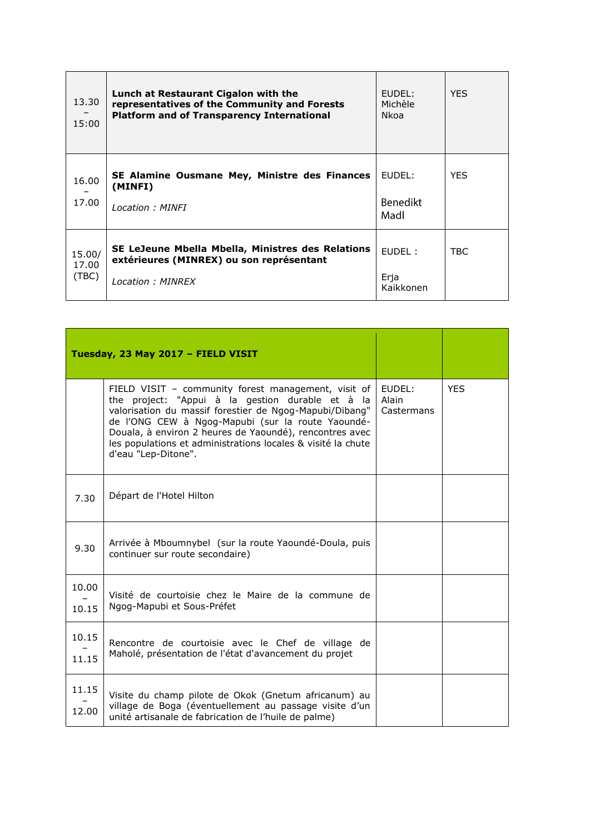| 13.30<br>15:00           | Lunch at Restaurant Cigalon with the<br>representatives of the Community and Forests<br><b>Platform and of Transparency International</b> | $FUDFI$ :<br>Michèle<br><b>Nkoa</b> | <b>YFS</b> |
|--------------------------|-------------------------------------------------------------------------------------------------------------------------------------------|-------------------------------------|------------|
| 16.00<br>17.00           | SE Alamine Ousmane Mey, Ministre des Finances<br>(MINFI)<br>Location: MINFI                                                               | EUDEL:<br><b>Benedikt</b><br>Madl   | <b>YES</b> |
| 15.00/<br>17.00<br>(TBC) | SE LeJeune Mbella Mbella, Ministres des Relations<br>extérieures (MINREX) ou son représentant<br>Location: MINREX                         | FUDFI:<br>Erja<br>Kaikkonen         | TBC.       |

|                | Tuesday, 23 May 2017 - FIELD VISIT                                                                                                                                                                                                                                                                                                                                        |                               |            |
|----------------|---------------------------------------------------------------------------------------------------------------------------------------------------------------------------------------------------------------------------------------------------------------------------------------------------------------------------------------------------------------------------|-------------------------------|------------|
|                | FIELD VISIT - community forest management, visit of<br>the project: "Appui à la gestion durable et à la<br>valorisation du massif forestier de Ngog-Mapubi/Dibang"<br>de l'ONG CEW à Ngog-Mapubi (sur la route Yaoundé-<br>Douala, à environ 2 heures de Yaoundé), rencontres avec<br>les populations et administrations locales & visité la chute<br>d'eau "Lep-Ditone". | EUDEL:<br>Alain<br>Castermans | <b>YES</b> |
| 7.30           | Départ de l'Hotel Hilton                                                                                                                                                                                                                                                                                                                                                  |                               |            |
| 9.30           | Arrivée à Mboumnybel (sur la route Yaoundé-Doula, puis<br>continuer sur route secondaire)                                                                                                                                                                                                                                                                                 |                               |            |
| 10.00<br>10.15 | Visité de courtoisie chez le Maire de la commune de<br>Ngog-Mapubi et Sous-Préfet                                                                                                                                                                                                                                                                                         |                               |            |
| 10.15<br>11.15 | Rencontre de courtoisie avec le Chef de village de<br>Maholé, présentation de l'état d'avancement du projet                                                                                                                                                                                                                                                               |                               |            |
| 11.15<br>12.00 | Visite du champ pilote de Okok (Gnetum africanum) au<br>village de Boga (éventuellement au passage visite d'un<br>unité artisanale de fabrication de l'huile de palme)                                                                                                                                                                                                    |                               |            |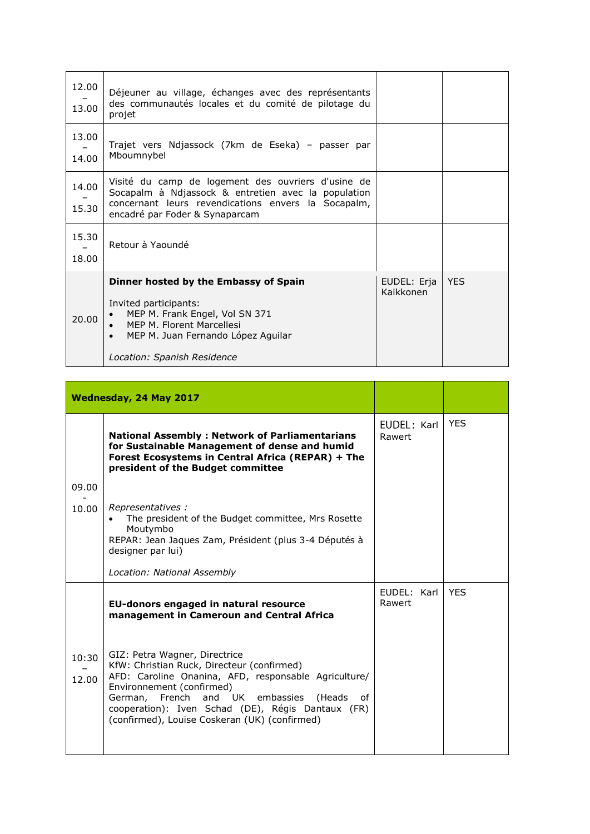| 12.00<br>13.00 | Déjeuner au village, échanges avec des représentants<br>des communautés locales et du comité de pilotage du<br>projet                                                                              |                          |            |
|----------------|----------------------------------------------------------------------------------------------------------------------------------------------------------------------------------------------------|--------------------------|------------|
| 13.00<br>14.00 | Trajet vers Ndjassock (7km de Eseka) - passer par<br>Mboumnybel                                                                                                                                    |                          |            |
| 14.00<br>15.30 | Visité du camp de logement des ouvriers d'usine de<br>Socapalm à Ndjassock & entretien avec la population<br>concernant leurs revendications envers la Socapalm,<br>encadré par Foder & Synaparcam |                          |            |
| 15.30<br>18.00 | Retour à Yaoundé                                                                                                                                                                                   |                          |            |
| 20.00          | Dinner hosted by the Embassy of Spain<br>Invited participants:<br>MEP M. Frank Engel, Vol SN 371<br>MEP M. Florent Marcellesi<br>MEP M. Juan Fernando López Aguilar<br>Location: Spanish Residence | EUDEL: Erja<br>Kaikkonen | <b>YES</b> |

|                | Wednesday, 24 May 2017                                                                                                                                                                                                                                                                                                    |                       |            |
|----------------|---------------------------------------------------------------------------------------------------------------------------------------------------------------------------------------------------------------------------------------------------------------------------------------------------------------------------|-----------------------|------------|
|                | <b>National Assembly: Network of Parliamentarians</b><br>for Sustainable Management of dense and humid<br>Forest Ecosystems in Central Africa (REPAR) + The<br>president of the Budget committee                                                                                                                          | EUDEL: Karl<br>Rawert | <b>YES</b> |
| 09.00          |                                                                                                                                                                                                                                                                                                                           |                       |            |
| 10.00          | Representatives:<br>The president of the Budget committee, Mrs Rosette<br>Moutymbo<br>REPAR: Jean Jaques Zam, Président (plus 3-4 Députés à<br>designer par lui)                                                                                                                                                          |                       |            |
|                | Location: National Assembly                                                                                                                                                                                                                                                                                               |                       |            |
|                | EU-donors engaged in natural resource<br>management in Cameroun and Central Africa                                                                                                                                                                                                                                        | FUDFL: Karl<br>Rawert | <b>YFS</b> |
| 10:30<br>12.00 | GIZ: Petra Wagner, Directrice<br>KfW: Christian Ruck, Directeur (confirmed)<br>AFD: Caroline Onanina, AFD, responsable Agriculture/<br>Environnement (confirmed)<br>German, French and UK embassies<br>(Heads<br>Ωf<br>cooperation): Iven Schad (DE), Régis Dantaux (FR)<br>(confirmed), Louise Coskeran (UK) (confirmed) |                       |            |